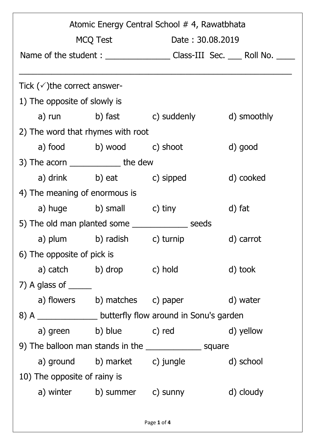| Atomic Energy Central School # 4, Rawatbhata              |                                                                |                                                                                       |             |  |
|-----------------------------------------------------------|----------------------------------------------------------------|---------------------------------------------------------------------------------------|-------------|--|
|                                                           | MCQ Test                                                       | Date: 30.08.2019                                                                      |             |  |
|                                                           |                                                                | Name of the student : __________________________Class-III Sec. ______ Roll No. ______ |             |  |
|                                                           |                                                                |                                                                                       |             |  |
| Tick $(\checkmark)$ the correct answer-                   |                                                                |                                                                                       |             |  |
| 1) The opposite of slowly is                              |                                                                |                                                                                       |             |  |
|                                                           |                                                                | a) run b) fast c) suddenly                                                            | d) smoothly |  |
| 2) The word that rhymes with root                         |                                                                |                                                                                       |             |  |
|                                                           | a) food b) wood c) shoot                                       |                                                                                       | d) good     |  |
|                                                           | 3) The acorn _______________ the dew                           |                                                                                       |             |  |
|                                                           | a) drink b) eat c) sipped                                      |                                                                                       | d) cooked   |  |
| 4) The meaning of enormous is                             |                                                                |                                                                                       |             |  |
|                                                           | a) huge b) small c) tiny                                       |                                                                                       | d) fat      |  |
| 5) The old man planted some _______________ seeds         |                                                                |                                                                                       |             |  |
|                                                           |                                                                | a) plum b) radish c) turnip                                                           | d) carrot   |  |
| 6) The opposite of pick is                                |                                                                |                                                                                       |             |  |
|                                                           | a) catch b) drop c) hold                                       |                                                                                       | d) took     |  |
| 7) A glass of $\_\_\_\_\_\_\_\$                           |                                                                |                                                                                       |             |  |
|                                                           |                                                                | a) flowers b) matches c) paper                                                        | d) water    |  |
|                                                           | 8) A __________________ butterfly flow around in Sonu's garden |                                                                                       |             |  |
|                                                           | a) green b) blue c) red                                        |                                                                                       | d) yellow   |  |
| 9) The balloon man stands in the _________________ square |                                                                |                                                                                       |             |  |
|                                                           |                                                                | a) ground b) market c) jungle d) school                                               |             |  |
| 10) The opposite of rainy is                              |                                                                |                                                                                       |             |  |
|                                                           | a) winter b) summer c) sunny                                   |                                                                                       | d) cloudy   |  |
|                                                           |                                                                |                                                                                       |             |  |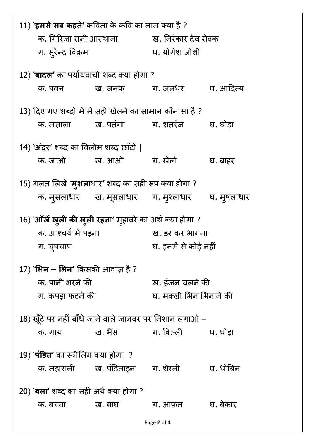| 11) <b>'हमसे सब कहते'</b> कविता के कवि का नाम क्या है ?<br>क. गिरिजा रानी आस्थाना<br>ग. सुरेन्द्र विक्रम |                                                | ख. निरंकार देव सेवक<br>घ. योगेश जोशी             |          |  |
|----------------------------------------------------------------------------------------------------------|------------------------------------------------|--------------------------------------------------|----------|--|
| 12) <b>'बादल'</b> का पर्यायवाची शब्द क्या होगा ?                                                         |                                                |                                                  |          |  |
|                                                                                                          |                                                |                                                  |          |  |
| 13) दिए गए शब्दों में से सही खेलने का सामान कौन सा है ?                                                  |                                                |                                                  |          |  |
|                                                                                                          |                                                |                                                  |          |  |
| 14) 'अंदर' शब्द का विलोम शब्द छाँटो                                                                      |                                                |                                                  |          |  |
|                                                                                                          |                                                | क. जाओ ख. आओ ग. खेलो                             | घ. बाहर  |  |
| 15) गलत लिखे 'मुशलाधार' शब्द का सही रूप क्या होगा ?                                                      |                                                |                                                  |          |  |
|                                                                                                          |                                                | क. मुसलाधार ख. मूसलाधार ग. मुश्लाधार घ. मुषलाधार |          |  |
| 16) 'आँखें खुली की खुली रहना' मुहावरे का अर्थ क्या होगा ?                                                |                                                |                                                  |          |  |
| क. आश्चर्य में पड़ना                                                                                     |                                                | ख. डर कर भागना                                   |          |  |
| ग. चुपचाप                                                                                                |                                                | घ. इनमें से कोई नहीं                             |          |  |
| 17) <b>'भिन – भिन'</b> किसकी आवाज़ है ?                                                                  |                                                |                                                  |          |  |
| क. पानी भरने की                                                                                          |                                                | ख. इंजन चलने की                                  |          |  |
| ग. कपड़ा फटने की                                                                                         |                                                | घ. मक्खी भिन भिनाने की                           |          |  |
| 18) खूँटे पर नहीं बाँधे जाने वाले जानवर पर निशान लगाओ –                                                  |                                                |                                                  |          |  |
| क. गाय                                                                                                   | ख. भैंस                                        | ग बिल्ली घ. घोडा                                 |          |  |
|                                                                                                          |                                                |                                                  |          |  |
| 19) ' <b>पंडित'</b> का स्त्रीलिंग क्या होगा  ?                                                           |                                                |                                                  |          |  |
|                                                                                                          | क. महारानी         ख. पंडिताइन        ग. शेरनी |                                                  | घ. धोबिन |  |
| 20) <b>`बला</b> ' शब्द का सही अर्थ क्या होगा ?                                                           |                                                |                                                  |          |  |
| क. बच्चा                                                                                                 | ख. बाघ                                         | ग. आफ़त                                          | घ. बेकार |  |
|                                                                                                          |                                                |                                                  |          |  |

Page 2 of 4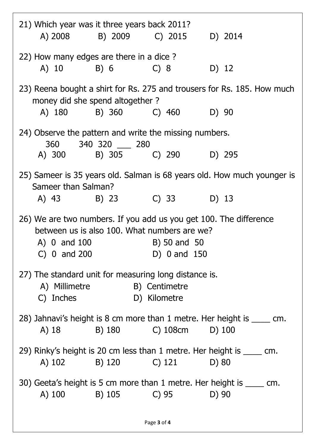|                                                                                                                                                                                       | 21) Which year was it three years back 2011?<br>A) 2008 B) 2009 C) 2015 D) 2014                            |                     |         |  |  |
|---------------------------------------------------------------------------------------------------------------------------------------------------------------------------------------|------------------------------------------------------------------------------------------------------------|---------------------|---------|--|--|
| $A)$ 10                                                                                                                                                                               | 22) How many edges are there in a dice?<br>B) 6 C) 8                                                       |                     | $D)$ 12 |  |  |
|                                                                                                                                                                                       | 23) Reena bought a shirt for Rs. 275 and trousers for Rs. 185. How much<br>money did she spend altogether? |                     |         |  |  |
|                                                                                                                                                                                       | A) 180 B) 360 C) 460<br>24) Observe the pattern and write the missing numbers.                             |                     | D) 90   |  |  |
| A) 300                                                                                                                                                                                | 360 340 320 280                                                                                            | B) 305 C) 290       | D) 295  |  |  |
|                                                                                                                                                                                       | 25) Sameer is 35 years old. Salman is 68 years old. How much younger is<br>Sameer than Salman?             |                     |         |  |  |
|                                                                                                                                                                                       | A) 43 B) 23                                                                                                | C) 33               | D) 13   |  |  |
| 26) We are two numbers. If you add us you get 100. The difference<br>between us is also 100. What numbers are we?<br>$A)$ 0 and 100<br>B) 50 and 50<br>$C)$ 0 and 200<br>D) 0 and 150 |                                                                                                            |                     |         |  |  |
| 27) The standard unit for measuring long distance is.<br>A) Millimetre B) Centimetre<br>C) Inches<br>D) Kilometre                                                                     |                                                                                                            |                     |         |  |  |
| $A)$ 18                                                                                                                                                                               | 28) Jahnavi's height is 8 cm more than 1 metre. Her height is _____ cm.<br>B) 180                          | $C)$ 108cm $D)$ 100 |         |  |  |
|                                                                                                                                                                                       | 29) Rinky's height is 20 cm less than 1 metre. Her height is _____ cm.<br>A) 102 B) 120                    | $C)$ 121            | D) 80   |  |  |
| A) 100                                                                                                                                                                                | 30) Geeta's height is 5 cm more than 1 metre. Her height is _____ cm.<br>B) 105 C) 95                      |                     | D) 90   |  |  |